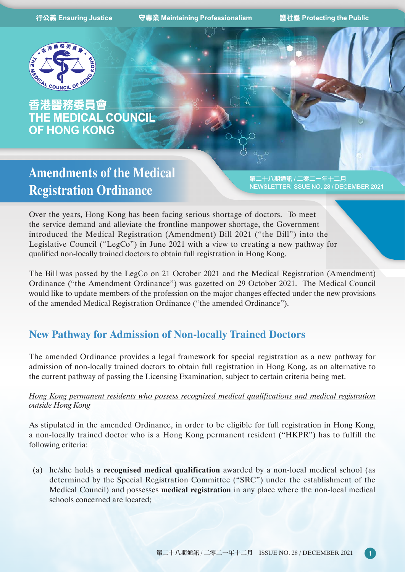

# 香港醫務委員會 THE MEDICAL COUNCIL **OF HONG KONG**

# **Amendments of the Medical Registration Ordinance**

第二十八期通訊 / 二零二一年十二月 NEWSLETTER ISSUE NO. 28 / DECEMBER 2021

Over the years, Hong Kong has been facing serious shortage of doctors. To meet the service demand and alleviate the frontline manpower shortage, the Government introduced the Medical Registration (Amendment) Bill 2021 ("the Bill") into the Legislative Council ("LegCo") in June 2021 with a view to creating a new pathway for qualified non-locally trained doctors to obtain full registration in Hong Kong.

The Bill was passed by the LegCo on 21 October 2021 and the Medical Registration (Amendment) Ordinance ("the Amendment Ordinance") was gazetted on 29 October 2021. The Medical Council would like to update members of the profession on the major changes effected under the new provisions of the amended Medical Registration Ordinance ("the amended Ordinance").

# **New Pathway for Admission of Non-locally Trained Doctors**

The amended Ordinance provides a legal framework for special registration as a new pathway for admission of non-locally trained doctors to obtain full registration in Hong Kong, as an alternative to the current pathway of passing the Licensing Examination, subject to certain criteria being met.

#### *Hong Kong permanent residents who possess recognised medical qualifications and medical registration outside Hong Kong*

As stipulated in the amended Ordinance, in order to be eligible for full registration in Hong Kong, a non-locally trained doctor who is a Hong Kong permanent resident ("HKPR") has to fulfill the following criteria:

(a) he/she holds a **recognised medical qualification** awarded by a non-local medical school (as determined by the Special Registration Committee ("SRC") under the establishment of the Medical Council) and possesses **medical registration** in any place where the non-local medical schools concerned are located;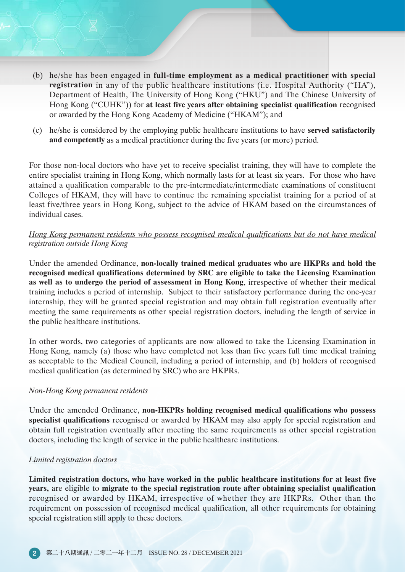- (b) he/she has been engaged in **full-time employment as a medical practitioner with special registration** in any of the public healthcare institutions (i.e. Hospital Authority ("HA"), Department of Health, The University of Hong Kong ("HKU") and The Chinese University of Hong Kong ("CUHK")) for **at least five years after obtaining specialist qualification** recognised or awarded by the Hong Kong Academy of Medicine ("HKAM"); and
- (c) he/she is considered by the employing public healthcare institutions to have **served satisfactorily and competently** as a medical practitioner during the five years (or more) period.

For those non-local doctors who have yet to receive specialist training, they will have to complete the entire specialist training in Hong Kong, which normally lasts for at least six years. For those who have attained a qualification comparable to the pre-intermediate/intermediate examinations of constituent Colleges of HKAM, they will have to continue the remaining specialist training for a period of at least five/three years in Hong Kong, subject to the advice of HKAM based on the circumstances of individual cases.

#### *Hong Kong permanent residents who possess recognised medical qualifications but do not have medical registration outside Hong Kong*

Under the amended Ordinance, **non-locally trained medical graduates who are HKPRs and hold the recognised medical qualifications determined by SRC are eligible to take the Licensing Examination as well as to undergo the period of assessment in Hong Kong**, irrespective of whether their medical training includes a period of internship. Subject to their satisfactory performance during the one-year internship, they will be granted special registration and may obtain full registration eventually after meeting the same requirements as other special registration doctors, including the length of service in the public healthcare institutions.

In other words, two categories of applicants are now allowed to take the Licensing Examination in Hong Kong, namely (a) those who have completed not less than five years full time medical training as acceptable to the Medical Council, including a period of internship, and (b) holders of recognised medical qualification (as determined by SRC) who are HKPRs.

#### *Non-Hong Kong permanent residents*

Under the amended Ordinance, **non-HKPRs holding recognised medical qualifications who possess specialist qualifications** recognised or awarded by HKAM may also apply for special registration and obtain full registration eventually after meeting the same requirements as other special registration doctors, including the length of service in the public healthcare institutions.

#### *Limited registration doctors*

**Limited registration doctors, who have worked in the public healthcare institutions for at least five years,** are eligible to **migrate to the special registration route after obtaining specialist qualification** recognised or awarded by HKAM, irrespective of whether they are HKPRs. Other than the requirement on possession of recognised medical qualification, all other requirements for obtaining special registration still apply to these doctors.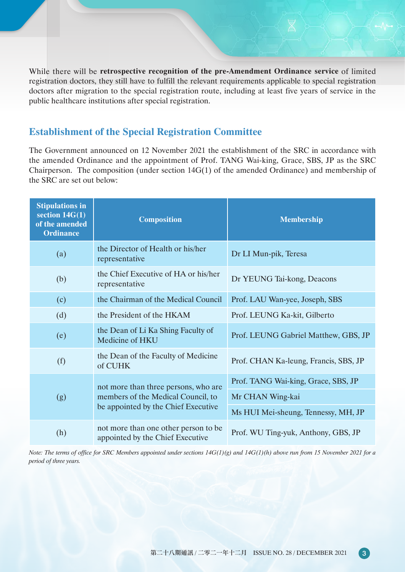While there will be **retrospective recognition of the pre-Amendment Ordinance service** of limited registration doctors, they still have to fulfill the relevant requirements applicable to special registration doctors after migration to the special registration route, including at least five years of service in the public healthcare institutions after special registration.

### **Establishment of the Special Registration Committee**

The Government announced on 12 November 2021 the establishment of the SRC in accordance with the amended Ordinance and the appointment of Prof. TANG Wai-king, Grace, SBS, JP as the SRC Chairperson. The composition (under section 14G(1) of the amended Ordinance) and membership of the SRC are set out below:

| <b>Stipulations in</b><br>section $14G(1)$<br>of the amended<br><b>Ordinance</b> | <b>Composition</b>                                                       | <b>Membership</b>                     |
|----------------------------------------------------------------------------------|--------------------------------------------------------------------------|---------------------------------------|
| $\left( \text{a}\right)$                                                         | the Director of Health or his/her<br>representative                      | Dr LI Mun-pik, Teresa                 |
| (b)                                                                              | the Chief Executive of HA or his/her<br>representative                   | Dr YEUNG Tai-kong, Deacons            |
| (c)                                                                              | the Chairman of the Medical Council                                      | Prof. LAU Wan-yee, Joseph, SBS        |
| (d)                                                                              | the President of the HKAM                                                | Prof. LEUNG Ka-kit, Gilberto          |
| (e)                                                                              | the Dean of Li Ka Shing Faculty of<br>Medicine of HKU                    | Prof. LEUNG Gabriel Matthew, GBS, JP  |
| (f)                                                                              | the Dean of the Faculty of Medicine<br>of CUHK                           | Prof. CHAN Ka-leung, Francis, SBS, JP |
|                                                                                  | not more than three persons, who are                                     | Prof. TANG Wai-king, Grace, SBS, JP   |
| (g)                                                                              | members of the Medical Council, to                                       | Mr CHAN Wing-kai                      |
|                                                                                  | be appointed by the Chief Executive                                      | Ms HUI Mei-sheung, Tennessy, MH, JP   |
| (h)                                                                              | not more than one other person to be<br>appointed by the Chief Executive | Prof. WU Ting-yuk, Anthony, GBS, JP   |

*Note: The terms of office for SRC Members appointed under sections 14G(1)(g) and 14G(1)(h) above run from 15 November 2021 for a period of three years.*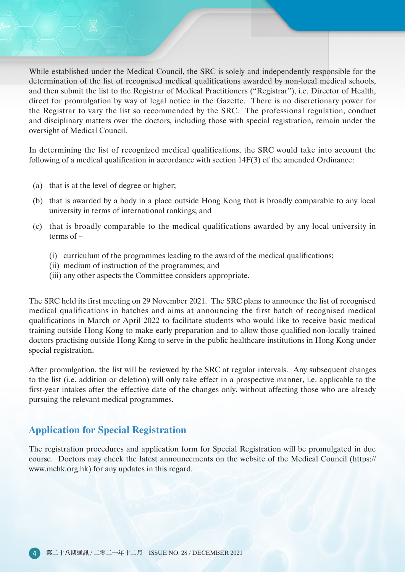While established under the Medical Council, the SRC is solely and independently responsible for the determination of the list of recognised medical qualifications awarded by non-local medical schools, and then submit the list to the Registrar of Medical Practitioners ("Registrar"), i.e. Director of Health, direct for promulgation by way of legal notice in the Gazette. There is no discretionary power for the Registrar to vary the list so recommended by the SRC. The professional regulation, conduct and disciplinary matters over the doctors, including those with special registration, remain under the oversight of Medical Council.

In determining the list of recognized medical qualifications, the SRC would take into account the following of a medical qualification in accordance with section 14F(3) of the amended Ordinance:

- (a) that is at the level of degree or higher;
- (b) that is awarded by a body in a place outside Hong Kong that is broadly comparable to any local university in terms of international rankings; and
- (c) that is broadly comparable to the medical qualifications awarded by any local university in terms of –
	- (i) curriculum of the programmes leading to the award of the medical qualifications;
	- (ii) medium of instruction of the programmes; and
	- (iii) any other aspects the Committee considers appropriate.

The SRC held its first meeting on 29 November 2021. The SRC plans to announce the list of recognised medical qualifications in batches and aims at announcing the first batch of recognised medical qualifications in March or April 2022 to facilitate students who would like to receive basic medical training outside Hong Kong to make early preparation and to allow those qualified non-locally trained doctors practising outside Hong Kong to serve in the public healthcare institutions in Hong Kong under special registration.

After promulgation, the list will be reviewed by the SRC at regular intervals. Any subsequent changes to the list (i.e. addition or deletion) will only take effect in a prospective manner, i.e. applicable to the first-year intakes after the effective date of the changes only, without affecting those who are already pursuing the relevant medical programmes.

### **Application for Special Registration**

The registration procedures and application form for Special Registration will be promulgated in due course. Doctors may check the latest announcements on the website of the Medical Council (https:// www.mchk.org.hk) for any updates in this regard.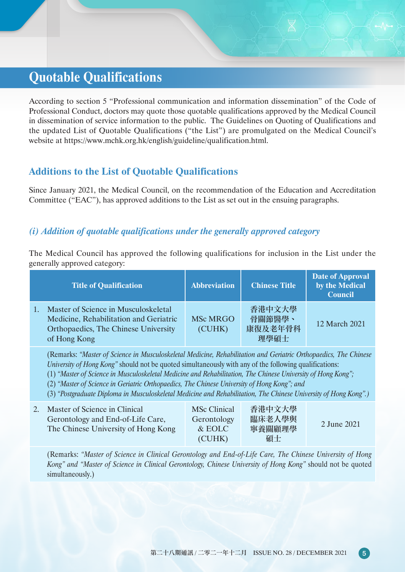# **Quotable Qualifications**

According to section 5 "Professional communication and information dissemination" of the Code of Professional Conduct, doctors may quote those quotable qualifications approved by the Medical Council in dissemination of service information to the public. The Guidelines on Quoting of Qualifications and the updated List of Quotable Qualifications ("the List") are promulgated on the Medical Council's website at https://www.mchk.org.hk/english/guideline/qualification.html.

## **Additions to the List of Quotable Qualifications**

Since January 2021, the Medical Council, on the recommendation of the Education and Accreditation Committee ("EAC"), has approved additions to the List as set out in the ensuing paragraphs.

### *(i) Addition of quotable qualifications under the generally approved category*

The Medical Council has approved the following qualifications for inclusion in the List under the generally approved category:

| <b>Title of Qualification</b>                                                                                                          | <b>Abbreviation</b>       | <b>Chinese Title</b>                | <b>Date of Approval</b><br>by the Medical<br><b>Council</b> |
|----------------------------------------------------------------------------------------------------------------------------------------|---------------------------|-------------------------------------|-------------------------------------------------------------|
| Master of Science in Musculoskeletal<br>Medicine, Rehabilitation and Geriatric<br>Orthopaedics, The Chinese University<br>of Hong Kong | <b>MSc MRGO</b><br>(CUHK) | 香港中文大學<br>骨關節醫學、<br>康復及老年骨科<br>理學碩士 | 12 March 2021                                               |

(Remarks: *"Master of Science in Musculoskeletal Medicine, Rehabilitation and Geriatric Orthopaedics, The Chinese University of Hong Kong"* should not be quoted simultaneously with any of the following qualifications:

- (1) *"Master of Science in Musculoskeletal Medicine and Rehabilitation, The Chinese University of Hong Kong";*
- (2) *"Master of Science in Geriatric Orthopaedics, The Chinese University of Hong Kong"; and*
- (3) *"Postgraduate Diploma in Musculoskeletal Medicine and Rehabilitation, The Chinese University of Hong Kong".)*

| 2. Master of Science in Clinical<br>Gerontology and End-of-Life Care,<br>The Chinese University of Hong Kong | <b>MSc Clinical</b><br>Gerontology<br>$&$ EOLC<br>(CUHK) | 香港中文大學<br>臨床老人學與<br>寧養關顧理學<br>碩士 | 2 June 2021 |
|--------------------------------------------------------------------------------------------------------------|----------------------------------------------------------|----------------------------------|-------------|
|--------------------------------------------------------------------------------------------------------------|----------------------------------------------------------|----------------------------------|-------------|

(Remarks: *"Master of Science in Clinical Gerontology and End-of-Life Care, The Chinese University of Hong Kong" and "Master of Science in Clinical Gerontology, Chinese University of Hong Kong"* should not be quoted simultaneously.)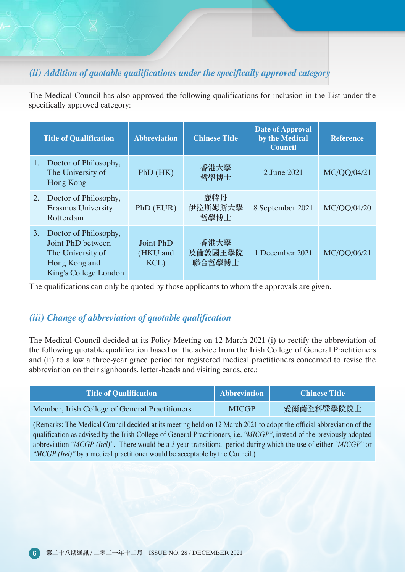### *(ii) Addition of quotable qualifications under the specifically approved category*

The Medical Council has also approved the following qualifications for inclusion in the List under the specifically approved category:

|    | <b>Title of Qualification</b>                                                                             | <b>Abbreviation</b>           | <b>Chinese Title</b>      | <b>Date of Approval</b><br>by the Medical<br><b>Council</b> | <b>Reference</b> |
|----|-----------------------------------------------------------------------------------------------------------|-------------------------------|---------------------------|-------------------------------------------------------------|------------------|
| 1. | Doctor of Philosophy,<br>The University of<br>Hong Kong                                                   | PhD(HK)                       | 香港大學<br>哲學博士              | 2 June 2021                                                 | MC/QQ/04/21      |
| 2. | Doctor of Philosophy,<br><b>Erasmus University</b><br>Rotterdam                                           | PhD (EUR)                     | 鹿特丹<br>伊拉斯姆斯大學<br>哲學博士    | 8 September 2021                                            | MC/QQ/04/20      |
| 3. | Doctor of Philosophy,<br>Joint PhD between<br>The University of<br>Hong Kong and<br>King's College London | Joint PhD<br>(HKU and<br>KCL) | 香港大學<br>及倫敦國王學院<br>聯合哲學博士 | 1 December 2021                                             | MC/QQ/06/21      |

The qualifications can only be quoted by those applicants to whom the approvals are given.

### *(iii) Change of abbreviation of quotable qualification*

The Medical Council decided at its Policy Meeting on 12 March 2021 (i) to rectify the abbreviation of the following quotable qualification based on the advice from the Irish College of General Practitioners and (ii) to allow a three-year grace period for registered medical practitioners concerned to revise the abbreviation on their signboards, letter-heads and visiting cards, etc.:

| <b>Title of Qualification</b>                  | Abbreviation | - Chinese Title |
|------------------------------------------------|--------------|-----------------|
| Member, Irish College of General Practitioners | <b>MICGP</b> | 愛爾蘭全科醫學院院士      |

(Remarks: The Medical Council decided at its meeting held on 12 March 2021 to adopt the official abbreviation of the qualification as advised by the Irish College of General Practitioners, i.e. *"MICGP"*, instead of the previously adopted abbreviation *"MCGP (Irel)"*. There would be a 3-year transitional period during which the use of either *"MICGP"* or *"MCGP (Irel)"* by a medical practitioner would be acceptable by the Council.)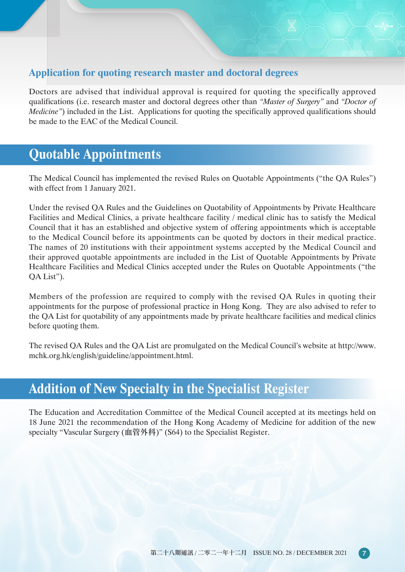### **Application for quoting research master and doctoral degrees**

Doctors are advised that individual approval is required for quoting the specifically approved qualifications (i.e. research master and doctoral degrees other than *"Master of Surgery"* and *"Doctor of Medicine*") included in the List. Applications for quoting the specifically approved qualifications should be made to the EAC of the Medical Council.

# **Quotable Appointments**

The Medical Council has implemented the revised Rules on Quotable Appointments ("the QA Rules") with effect from 1 January 2021.

Under the revised QA Rules and the Guidelines on Quotability of Appointments by Private Healthcare Facilities and Medical Clinics, a private healthcare facility / medical clinic has to satisfy the Medical Council that it has an established and objective system of offering appointments which is acceptable to the Medical Council before its appointments can be quoted by doctors in their medical practice. The names of 20 institutions with their appointment systems accepted by the Medical Council and their approved quotable appointments are included in the List of Quotable Appointments by Private Healthcare Facilities and Medical Clinics accepted under the Rules on Quotable Appointments ("the QA List").

Members of the profession are required to comply with the revised QA Rules in quoting their appointments for the purpose of professional practice in Hong Kong. They are also advised to refer to the QA List for quotability of any appointments made by private healthcare facilities and medical clinics before quoting them.

The revised QA Rules and the QA List are promulgated on the Medical Council's website at http://www. mchk.org.hk/english/guideline/appointment.html.

# **Addition of New Specialty in the Specialist Register**

The Education and Accreditation Committee of the Medical Council accepted at its meetings held on 18 June 2021 the recommendation of the Hong Kong Academy of Medicine for addition of the new specialty "Vascular Surgery (血管外科)" (S64) to the Specialist Register.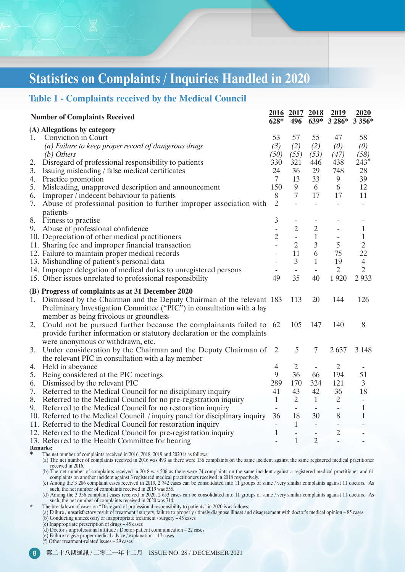# **Statistics on Complaints / Inquiries Handled in 2020**

### **Table 1 - Complaints received by the Medical Council**

|    | <b>Number of Complaints Received</b>                                                                                                                                                                                                              | $628*$         | 2016 2017 2018<br>496    | 639*                     | <u>2019</u><br>3 2 8 6*      | 2020<br>3 3 5 6*         |
|----|---------------------------------------------------------------------------------------------------------------------------------------------------------------------------------------------------------------------------------------------------|----------------|--------------------------|--------------------------|------------------------------|--------------------------|
|    | (A) Allegations by category                                                                                                                                                                                                                       |                |                          |                          |                              |                          |
| 1. | Conviction in Court                                                                                                                                                                                                                               | 53             | 57                       | 55                       | 47                           | 58                       |
|    | (a) Failure to keep proper record of dangerous drugs                                                                                                                                                                                              | (3)            | (2)                      | (2)                      | (0)                          | (0)                      |
|    | (b) Others                                                                                                                                                                                                                                        | (50)           | (55)                     | (53)                     | (47)                         | (58)                     |
| 2. | Disregard of professional responsibility to patients                                                                                                                                                                                              | 330            | 321                      | 446                      | 438                          | $243^{\#}$               |
| 3. | Issuing misleading / false medical certificates                                                                                                                                                                                                   | 24             | 36                       | 29                       | 748                          | 28                       |
| 4. | Practice promotion                                                                                                                                                                                                                                | $\tau$         | 13                       | 33                       | 9                            | 39                       |
| 5. | Misleading, unapproved description and announcement                                                                                                                                                                                               | 150            | 9                        | 6                        | 6                            | 12                       |
| 6. | Improper / indecent behaviour to patients                                                                                                                                                                                                         | 8              | 7                        | 17                       | 17                           | 11                       |
| 7. | Abuse of professional position to further improper association with                                                                                                                                                                               | $\overline{2}$ |                          | $\overline{\phantom{0}}$ | $\overline{\phantom{0}}$     | $\overline{\phantom{a}}$ |
|    | patients                                                                                                                                                                                                                                          |                |                          |                          |                              |                          |
| 8. | Fitness to practise                                                                                                                                                                                                                               | 3              |                          |                          |                              |                          |
| 9. | Abuse of professional confidence                                                                                                                                                                                                                  | $\overline{a}$ | $\overline{2}$           | $\overline{c}$           | $\overline{\phantom{0}}$     | 1                        |
|    | 10. Depreciation of other medical practitioners                                                                                                                                                                                                   | $\overline{2}$ | $\overline{\phantom{a}}$ | $\mathbf{1}$             | $\qquad \qquad \blacksquare$ | 1                        |
|    | 11. Sharing fee and improper financial transaction                                                                                                                                                                                                |                | $\overline{2}$           | 3                        | 5                            | 2                        |
|    | 12. Failure to maintain proper medical records                                                                                                                                                                                                    |                | 11                       | 6                        | 75                           | 22                       |
|    | 13. Mishandling of patient's personal data                                                                                                                                                                                                        |                | 3                        | $\mathbf{1}$             | 19                           | $\overline{4}$           |
|    | 14. Improper delegation of medical duties to unregistered persons                                                                                                                                                                                 |                |                          | $\overline{\phantom{a}}$ | $\overline{2}$               | $\overline{2}$           |
|    | 15. Other issues unrelated to professional responsibility                                                                                                                                                                                         | 49             | 35                       | 40                       | 1920                         | 2933                     |
|    | (B) Progress of complaints as at 31 December 2020                                                                                                                                                                                                 |                |                          |                          |                              |                          |
| 1. | Dismissed by the Chairman and the Deputy Chairman of the relevant 183                                                                                                                                                                             |                | 113                      | 20                       | 144                          | 126                      |
|    | Preliminary Investigation Committee ("PIC") in consultation with a lay                                                                                                                                                                            |                |                          |                          |                              |                          |
|    | member as being frivolous or groundless                                                                                                                                                                                                           |                |                          |                          |                              |                          |
| 2. | Could not be pursued further because the complainants failed to                                                                                                                                                                                   | 62             | 105                      | 147                      | 140                          | 8                        |
|    | provide further information or statutory declaration or the complaints                                                                                                                                                                            |                |                          |                          |                              |                          |
|    | were anonymous or withdrawn, etc.                                                                                                                                                                                                                 |                |                          |                          |                              |                          |
| 3. | Under consideration by the Chairman and the Deputy Chairman of                                                                                                                                                                                    | $\overline{2}$ | 5                        | 7                        | 2637                         | 3 1 4 8                  |
|    | the relevant PIC in consultation with a lay member                                                                                                                                                                                                |                |                          |                          |                              |                          |
| 4. | Held in abeyance                                                                                                                                                                                                                                  | $\overline{4}$ | $\overline{2}$           | $\overline{\phantom{a}}$ | $\overline{2}$               |                          |
| 5. | Being considered at the PIC meetings                                                                                                                                                                                                              | 9              | 36                       | 66                       | 194                          | 51                       |
| 6. | Dismissed by the relevant PIC                                                                                                                                                                                                                     | 289            | 170                      | 324                      | 121                          | $\mathfrak{Z}$           |
| 7. | Referred to the Medical Council for no disciplinary inquiry                                                                                                                                                                                       | 41             | 43                       | 42                       | 36                           | 18                       |
| 8. | Referred to the Medical Council for no pre-registration inquiry                                                                                                                                                                                   | $\mathbf{1}$   | $\overline{2}$           | $\mathbf{1}$             | $\overline{2}$               | $\overline{\phantom{a}}$ |
| 9. | Referred to the Medical Council for no restoration inquiry                                                                                                                                                                                        | $\overline{a}$ |                          | $\overline{\phantom{a}}$ | $\overline{\phantom{0}}$     | $\mathbf{1}$             |
|    | 10. Referred to the Medical Council / inquiry panel for disciplinary inquiry                                                                                                                                                                      | 36             | 18                       | 30                       | 8                            | 1                        |
|    | 11. Referred to the Medical Council for restoration inquiry                                                                                                                                                                                       |                | 1                        |                          |                              |                          |
|    | 12. Referred to the Medical Council for pre-registration inquiry                                                                                                                                                                                  | 1              |                          |                          | $\overline{c}$               |                          |
|    | 13. Referred to the Health Committee for hearing                                                                                                                                                                                                  |                | 1                        | $\overline{2}$           |                              |                          |
|    | <b>Remarks:</b>                                                                                                                                                                                                                                   |                |                          |                          |                              |                          |
| ∗  | The net number of complaints received in 2016, 2018, 2019 and 2020 is as follows:<br>(a) The net number of complaints received in 2016 was 493 as there were 136 complaints on the same incident against the same registered medical practitioner |                |                          |                          |                              |                          |
|    | received in 2016.                                                                                                                                                                                                                                 |                |                          |                          |                              |                          |

(b) The net number of complaints received in 2018 was 506 as there were 74 complaints on the same incident against a registered medical practitioner and 61 complaints on another incident against 3 registered medical practitioners received in 2018 respectively.

(c) Among the 3 286 complaint cases received in 2019, 2 742 cases can be consolidated into 11 groups of same / very similar complaints against 11 doctors. As such, the net number of complaints received in 2019 was 555.

(d) Among the 3 356 complaint cases received in 2020, 2 653 cases can be consolidated into 11 groups of same / very similar complaints against 11 doctors. As such, the net number of complaints received in 2020 was 714.

# The breakdown of cases on "Disregard of professional responsibility to patients" in 2020 is as follows:

(a) Failure / unsatisfactory result of treatment / surgery, failure to properly / timely diagnose illness and disagreement with doctor's medical opinion – 85 cases (b) Conducting unnecessary or inappropriate treatment / surgery – 45 cases

(c) Inappropriate prescription of drugs – 45 cases

 $(d)$  Doctor's unprofessional attitude *D*octor-patient communication – 22 cases

(e) Failure to give proper medical advice / explanation – 17 cases

(f) Other treatment-related issues – 29 cases

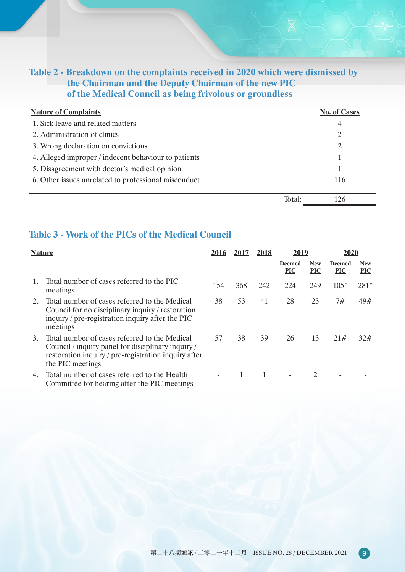**Table 2 - Breakdown on the complaints received in 2020 which were dismissed by the Chairman and the Deputy Chairman of the new PIC of the Medical Council as being frivolous or groundless**

| <b>Nature of Complaints</b>                          |        | <b>No. of Cases</b> |
|------------------------------------------------------|--------|---------------------|
| 1. Sick leave and related matters                    |        | 4                   |
| 2. Administration of clinics                         |        |                     |
| 3. Wrong declaration on convictions                  |        |                     |
| 4. Alleged improper / indecent behaviour to patients |        |                     |
| 5. Disagreement with doctor's medical opinion        |        |                     |
| 6. Other issues unrelated to professional misconduct |        | 116                 |
|                                                      |        |                     |
|                                                      | Total: | 126                 |

## **Table 3 - Work of the PICs of the Medical Council**

|    | <b>Nature</b>                                                                                                                                                                   | 2016 | 2017 | <u>2018</u>    | 2019                        |                     | 2020                        |                          |
|----|---------------------------------------------------------------------------------------------------------------------------------------------------------------------------------|------|------|----------------|-----------------------------|---------------------|-----------------------------|--------------------------|
|    |                                                                                                                                                                                 |      |      |                | <b>Deemed</b><br><b>PIC</b> | <b>New</b><br>$PLC$ | <b>Deemed</b><br><b>PIC</b> | <b>New</b><br><b>PIC</b> |
|    | Total number of cases referred to the PIC<br>meetings                                                                                                                           | 154  | 368  | 242            | 224                         | 249                 | $105*$                      | $281*$                   |
|    | Total number of cases referred to the Medical<br>Council for no disciplinary inquiry / restoration<br>inquiry / pre-registration inquiry after the PIC<br>meetings              | 38   | 53   | 41             | 28                          | 23                  | 7#                          | 49#                      |
| 3. | Total number of cases referred to the Medical<br>Council / inquiry panel for disciplinary inquiry /<br>restoration inquiry / pre-registration inquiry after<br>the PIC meetings | 57   | 38   | 39             | 26                          | 13                  | 21#                         | 32#                      |
| 4. | Total number of cases referred to the Health<br>Committee for hearing after the PIC meetings                                                                                    |      | 1    | $\overline{1}$ |                             | $\mathcal{L}$       |                             |                          |

第二十八期通訊 / 二零二一年十二月 ISSUE NO. 28 / DECEMBER 2021 9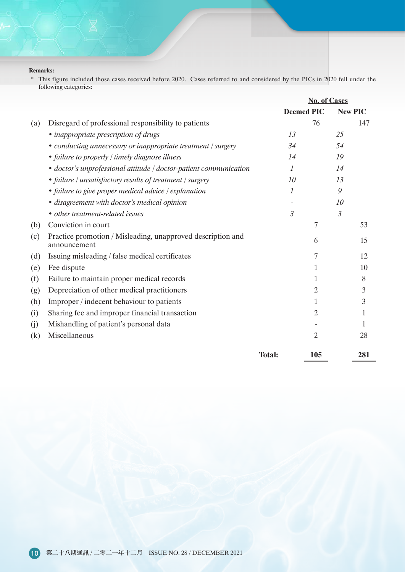#### **Remarks:**

\* This figure included those cases received before 2020. Cases referred to and considered by the PICs in 2020 fell under the following categories:

|     |                                                                             |                | <b>No. of Cases</b> |                |                |
|-----|-----------------------------------------------------------------------------|----------------|---------------------|----------------|----------------|
|     |                                                                             |                | <b>Deemed PIC</b>   |                | <b>New PIC</b> |
| (a) | Disregard of professional responsibility to patients                        |                | 76                  |                | 147            |
|     | • inappropriate prescription of drugs                                       | 13             |                     | 25             |                |
|     | • conducting unnecessary or inappropriate treatment / surgery               | 34             |                     | 54             |                |
|     | • failure to properly / timely diagnose illness                             | 14             |                     | 19             |                |
|     | · doctor's unprofessional attitude / doctor-patient communication           | 1              |                     | 14             |                |
|     | • failure / unsatisfactory results of treatment / surgery                   | 10             |                     | 13             |                |
|     | • failure to give proper medical advice / explanation                       | 1              |                     | 9              |                |
|     | · disagreement with doctor's medical opinion                                |                |                     | 10             |                |
|     | • other treatment-related issues                                            | $\mathfrak{Z}$ |                     | $\mathfrak{Z}$ |                |
| (b) | Conviction in court                                                         |                | 7                   |                | 53             |
| (c) | Practice promotion / Misleading, unapproved description and<br>announcement |                | 6                   |                | 15             |
| (d) | Issuing misleading / false medical certificates                             |                | 7                   |                | 12             |
| (e) | Fee dispute                                                                 |                | 1                   |                | 10             |
| (f) | Failure to maintain proper medical records                                  |                | 1                   |                | 8              |
| (g) | Depreciation of other medical practitioners                                 |                | 2                   |                | 3              |
| (h) | Improper / indecent behaviour to patients                                   |                | 1                   |                | 3              |
| (i) | Sharing fee and improper financial transaction                              |                | 2                   |                | 1              |
| (j) | Mishandling of patient's personal data                                      |                |                     |                | 1              |
| (k) | Miscellaneous                                                               |                | 2                   |                | 28             |
|     |                                                                             | <b>Total:</b>  | 105                 |                | 281            |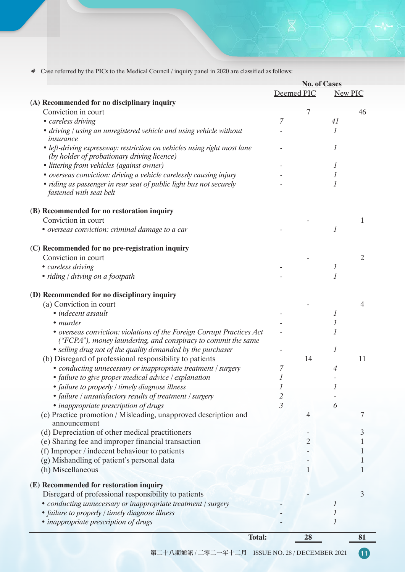# Case referred by the PICs to the Medical Council / inquiry panel in 2020 are classified as follows:

|                                                                                                                                         |                          | <b>No. of Cases</b> |               |                |
|-----------------------------------------------------------------------------------------------------------------------------------------|--------------------------|---------------------|---------------|----------------|
|                                                                                                                                         |                          | Deemed PIC          |               | New PIC        |
| (A) Recommended for no disciplinary inquiry                                                                                             |                          |                     |               |                |
| Conviction in court                                                                                                                     |                          | 7                   |               | 46             |
| • careless driving                                                                                                                      | 7                        |                     | 41            |                |
| · driving / using an unregistered vehicle and using vehicle without<br>insurance                                                        |                          |                     | 1             |                |
| • left-driving expressway: restriction on vehicles using right most lane<br>(by holder of probationary driving licence)                 |                          |                     | 1             |                |
|                                                                                                                                         |                          |                     | $\mathcal{I}$ |                |
| • littering from vehicles (against owner)                                                                                               |                          |                     |               |                |
| • overseas conviction: driving a vehicle carelessly causing injury                                                                      |                          |                     | 1             |                |
| • riding as passenger in rear seat of public light bus not securely<br>fastened with seat belt                                          |                          |                     | 1             |                |
| (B) Recommended for no restoration inquiry                                                                                              |                          |                     |               |                |
| Conviction in court                                                                                                                     |                          |                     |               | 1              |
| • overseas conviction: criminal damage to a car                                                                                         |                          |                     | 1             |                |
| (C) Recommended for no pre-registration inquiry                                                                                         |                          |                     |               |                |
| Conviction in court                                                                                                                     |                          |                     |               | $\overline{2}$ |
| • careless driving                                                                                                                      |                          |                     | $\mathcal{I}$ |                |
| • riding / driving on a footpath                                                                                                        |                          |                     | 1             |                |
| (D) Recommended for no disciplinary inquiry                                                                                             |                          |                     |               |                |
| (a) Conviction in court                                                                                                                 |                          |                     |               | $\overline{4}$ |
| • indecent assault                                                                                                                      |                          |                     | $\mathcal{I}$ |                |
| $\bullet$ murder                                                                                                                        |                          |                     | 1             |                |
| • overseas conviction: violations of the Foreign Corrupt Practices Act<br>("FCPA"), money laundering, and conspiracy to commit the same |                          |                     | 1             |                |
| • selling drug not of the quality demanded by the purchaser                                                                             |                          |                     | 1             |                |
| (b) Disregard of professional responsibility to patients                                                                                |                          | 14                  |               | 11             |
| • conducting unnecessary or inappropriate treatment / surgery                                                                           | 7                        |                     | 4             |                |
| • failure to give proper medical advice / explanation                                                                                   | $\mathcal{I}$            |                     |               |                |
| • failure to properly / timely diagnose illness                                                                                         | 1                        |                     | 1             |                |
| • failure / unsatisfactory results of treatment / surgery                                                                               | $\overline{\mathcal{L}}$ |                     |               |                |
| • inappropriate prescription of drugs                                                                                                   | $\overline{3}$           |                     | 6             |                |
| (c) Practice promotion / Misleading, unapproved description and<br>announcement                                                         |                          | 4                   |               | 7              |
| (d) Depreciation of other medical practitioners                                                                                         |                          |                     |               | 3              |
| (e) Sharing fee and improper financial transaction                                                                                      |                          | $\overline{2}$      |               |                |
| (f) Improper / indecent behaviour to patients                                                                                           |                          |                     |               |                |
| (g) Mishandling of patient's personal data                                                                                              |                          |                     |               | 1              |
| (h) Miscellaneous                                                                                                                       |                          | 1                   |               | 1              |
| (E) Recommended for restoration inquiry                                                                                                 |                          |                     |               |                |
| Disregard of professional responsibility to patients                                                                                    |                          |                     |               | 3              |
| • conducting unnecessary or inappropriate treatment / surgery                                                                           |                          |                     | 1             |                |
| • failure to properly / timely diagnose illness                                                                                         |                          |                     |               |                |
| • inappropriate prescription of drugs                                                                                                   |                          |                     |               |                |
| <b>Total:</b>                                                                                                                           |                          | 28                  |               | 81             |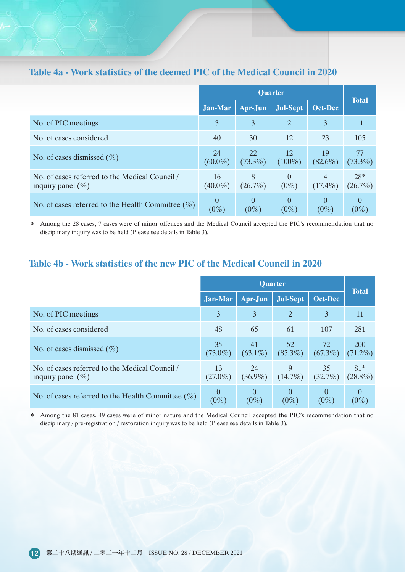|                     |  | <b>Quarter</b> |                                        | <b>Total</b> |
|---------------------|--|----------------|----------------------------------------|--------------|
|                     |  |                | Jan-Mar   Apr-Jun   Jul-Sept   Oct-Dec |              |
| No. of PIC meetings |  |                |                                        |              |

No. of cases considered 40 30 12 23 105

 $(60.0\%)$ 

16  $(40.0\%)$ 

 $(0\%)$ 

22  $(73.3\%)$ 

8  $(26.7\%)$ 

> 0  $(0\%)$

12  $(100\%)$ 

> $\overline{0}$  $(0\%)$

0  $(0\%)$ 

19  $(82.6\%)$ 

4  $(17.4\%)$ 

> 0  $(0\%)$

77  $(73.3\%)$ 

28\*  $(26.7\%)$ 

> 0  $(0\%)$

#### **Table 4a - Work statistics of the deemed PIC of the Medical Council in 2020**

**\*** Among the 28 cases, 7 cases were of minor offences and the Medical Council accepted the PIC's recommendation that no disciplinary inquiry was to be held (Please see details in Table 3).

#### **Table 4b - Work statistics of the new PIC of the Medical Council in 2020**

No. of cases dismissed  $(\%)$  24

No. of cases referred to the Health Committee  $(\%)$  0

No. of cases referred to the Medical Council /

inquiry panel  $(\% )$ 

|                                                                         |                          |                           | <b>Total</b>              |                     |                          |
|-------------------------------------------------------------------------|--------------------------|---------------------------|---------------------------|---------------------|--------------------------|
|                                                                         | <b>Jan-Mar</b>           | <b>Apr-Jun</b>            | Jul-Sept                  | <b>Oct-Dec</b>      |                          |
| No. of PIC meetings                                                     | 3                        | 3                         | $\overline{2}$            | 3                   | 11                       |
| No. of cases considered                                                 | 48                       | 65                        | 61                        | 107                 | 281                      |
| No. of cases dismissed $(\% )$                                          | 35<br>$(73.0\%)$         | 41<br>$(63.1\%)$          | 52<br>$(85.3\%)$          | 72<br>(67.3%)       | <b>200</b><br>$(71.2\%)$ |
| No. of cases referred to the Medical Council /<br>inquiry panel $(\% )$ | 13<br>$(27.0\%)$         | 24<br>$(36.9\%)$          | 9<br>$(14.7\%)$           | 35<br>$(32.7\%)$    | $81*$<br>$(28.8\%)$      |
| No. of cases referred to the Health Committee $(\% )$                   | $\overline{0}$<br>$(0\%$ | $\overline{0}$<br>$(0\%)$ | $\overline{0}$<br>$(0\%)$ | $\theta$<br>$(0\%)$ | $\Omega$<br>$(0\%)$      |

**\*** Among the 81 cases, 49 cases were of minor nature and the Medical Council accepted the PIC's recommendation that no disciplinary / pre-registration / restoration inquiry was to be held (Please see details in Table 3).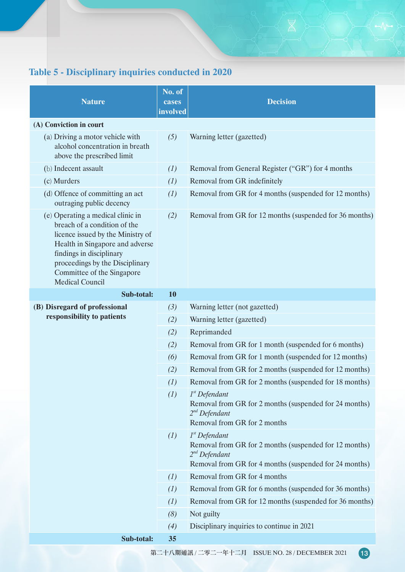# **Table 5 - Disciplinary inquiries conducted in 2020**

| <b>Nature</b>                                                                                                                                                                                                                                                    | No. of<br>cases<br>involved | <b>Decision</b>                                                                                                                                           |
|------------------------------------------------------------------------------------------------------------------------------------------------------------------------------------------------------------------------------------------------------------------|-----------------------------|-----------------------------------------------------------------------------------------------------------------------------------------------------------|
| (A) Conviction in court                                                                                                                                                                                                                                          |                             |                                                                                                                                                           |
| (a) Driving a motor vehicle with<br>alcohol concentration in breath<br>above the prescribed limit                                                                                                                                                                | (5)                         | Warning letter (gazetted)                                                                                                                                 |
| (b) Indecent assault                                                                                                                                                                                                                                             | (1)                         | Removal from General Register ("GR") for 4 months                                                                                                         |
| (c) Murders                                                                                                                                                                                                                                                      | (1)                         | Removal from GR indefinitely                                                                                                                              |
| (d) Offence of committing an act<br>outraging public decency                                                                                                                                                                                                     | (1)                         | Removal from GR for 4 months (suspended for 12 months)                                                                                                    |
| (e) Operating a medical clinic in<br>breach of a condition of the<br>licence issued by the Ministry of<br>Health in Singapore and adverse<br>findings in disciplinary<br>proceedings by the Disciplinary<br>Committee of the Singapore<br><b>Medical Council</b> | (2)                         | Removal from GR for 12 months (suspended for 36 months)                                                                                                   |
| Sub-total:                                                                                                                                                                                                                                                       | <b>10</b>                   |                                                                                                                                                           |
| (B) Disregard of professional                                                                                                                                                                                                                                    | (3)                         | Warning letter (not gazetted)                                                                                                                             |
| responsibility to patients                                                                                                                                                                                                                                       | (2)                         | Warning letter (gazetted)                                                                                                                                 |
|                                                                                                                                                                                                                                                                  | (2)                         | Reprimanded                                                                                                                                               |
|                                                                                                                                                                                                                                                                  | (2)                         | Removal from GR for 1 month (suspended for 6 months)                                                                                                      |
|                                                                                                                                                                                                                                                                  | (6)                         | Removal from GR for 1 month (suspended for 12 months)                                                                                                     |
|                                                                                                                                                                                                                                                                  | (2)                         | Removal from GR for 2 months (suspended for 12 months)                                                                                                    |
|                                                                                                                                                                                                                                                                  | $\left(1\right)$            | Removal from GR for 2 months (suspended for 18 months)                                                                                                    |
|                                                                                                                                                                                                                                                                  | (1)                         | $1st$ Defendant<br>Removal from GR for 2 months (suspended for 24 months)<br>$2^{nd}$ Defendant<br>Removal from GR for 2 months                           |
|                                                                                                                                                                                                                                                                  | (1)                         | $1st$ Defendant<br>Removal from GR for 2 months (suspended for 12 months)<br>$2^{nd}$ Defendant<br>Removal from GR for 4 months (suspended for 24 months) |
|                                                                                                                                                                                                                                                                  | (1)                         | Removal from GR for 4 months                                                                                                                              |
|                                                                                                                                                                                                                                                                  | (1)                         | Removal from GR for 6 months (suspended for 36 months)                                                                                                    |
|                                                                                                                                                                                                                                                                  | (1)                         | Removal from GR for 12 months (suspended for 36 months)                                                                                                   |
|                                                                                                                                                                                                                                                                  | (8)                         | Not guilty                                                                                                                                                |
|                                                                                                                                                                                                                                                                  | (4)                         | Disciplinary inquiries to continue in 2021                                                                                                                |
| Sub-total:                                                                                                                                                                                                                                                       | 35                          |                                                                                                                                                           |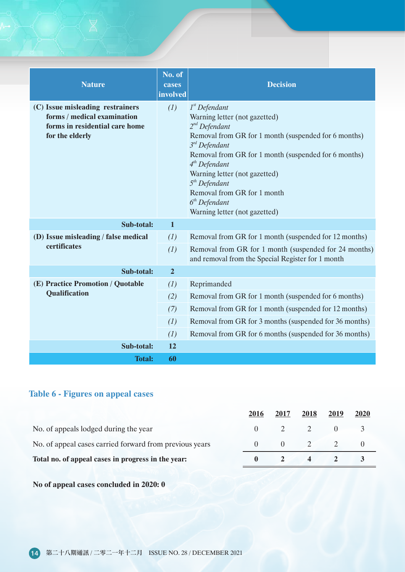| <b>Nature</b>                                                                                                        | No. of<br>cases<br>involved     | <b>Decision</b>                                                                                                                                                                                                                                                                                                                                                        |
|----------------------------------------------------------------------------------------------------------------------|---------------------------------|------------------------------------------------------------------------------------------------------------------------------------------------------------------------------------------------------------------------------------------------------------------------------------------------------------------------------------------------------------------------|
| (C) Issue misleading restrainers<br>forms / medical examination<br>forms in residential care home<br>for the elderly | (1)                             | $1st$ Defendant<br>Warning letter (not gazetted)<br>$2^{nd}$ Defendant<br>Removal from GR for 1 month (suspended for 6 months)<br>$3^{rd}$ Defendant<br>Removal from GR for 1 month (suspended for 6 months)<br>$4th$ Defendant<br>Warning letter (not gazetted)<br>$5th$ Defendant<br>Removal from GR for 1 month<br>$6th$ Defendant<br>Warning letter (not gazetted) |
| Sub-total:                                                                                                           | $\mathbf{1}$                    |                                                                                                                                                                                                                                                                                                                                                                        |
| (D) Issue misleading / false medical<br>certificates                                                                 | (1)<br>(1)                      | Removal from GR for 1 month (suspended for 12 months)<br>Removal from GR for 1 month (suspended for 24 months)<br>and removal from the Special Register for 1 month                                                                                                                                                                                                    |
| Sub-total:                                                                                                           | $\overline{2}$                  |                                                                                                                                                                                                                                                                                                                                                                        |
| (E) Practice Promotion / Quotable<br>Qualification                                                                   | (1)<br>(2)<br>(7)<br>(1)<br>(1) | Reprimanded<br>Removal from GR for 1 month (suspended for 6 months)<br>Removal from GR for 1 month (suspended for 12 months)<br>Removal from GR for 3 months (suspended for 36 months)<br>Removal from GR for 6 months (suspended for 36 months)                                                                                                                       |
| Sub-total:                                                                                                           | <b>12</b>                       |                                                                                                                                                                                                                                                                                                                                                                        |
| <b>Total:</b>                                                                                                        | 60                              |                                                                                                                                                                                                                                                                                                                                                                        |

# **Table 6 - Figures on appeal cases**

|                                                         | 2016 | 2017                  | 2018                  | 2019 | 2020 |
|---------------------------------------------------------|------|-----------------------|-----------------------|------|------|
| No. of appeals lodged during the year                   |      | $0 \qquad 2 \qquad 2$ |                       |      |      |
| No. of appeal cases carried forward from previous years |      |                       | $0 \qquad 2 \qquad 2$ |      |      |
| Total no. of appeal cases in progress in the year:      |      |                       | $\overline{a}$        |      |      |

 **No of appeal cases concluded in 2020: 0**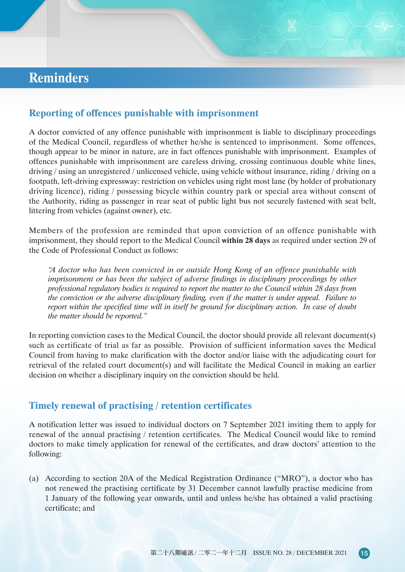# **Reminders**

### **Reporting of offences punishable with imprisonment**

A doctor convicted of any offence punishable with imprisonment is liable to disciplinary proceedings of the Medical Council, regardless of whether he/she is sentenced to imprisonment. Some offences, though appear to be minor in nature, are in fact offences punishable with imprisonment. Examples of offences punishable with imprisonment are careless driving, crossing continuous double white lines, driving / using an unregistered / unlicensed vehicle, using vehicle without insurance, riding / driving on a footpath, left-driving expressway: restriction on vehicles using right most lane (by holder of probationary driving licence), riding / possessing bicycle within country park or special area without consent of the Authority, riding as passenger in rear seat of public light bus not securely fastened with seat belt, littering from vehicles (against owner), etc.

Members of the profession are reminded that upon conviction of an offence punishable with imprisonment, they should report to the Medical Council **within 28 days** as required under section 29 of the Code of Professional Conduct as follows:

*"A doctor who has been convicted in or outside Hong Kong of an offence punishable with imprisonment or has been the subject of adverse findings in disciplinary proceedings by other professional regulatory bodies is required to report the matter to the Council within 28 days from the conviction or the adverse disciplinary finding, even if the matter is under appeal. Failure to report within the specified time will in itself be ground for disciplinary action. In case of doubt the matter should be reported."*

In reporting conviction cases to the Medical Council, the doctor should provide all relevant document(s) such as certificate of trial as far as possible. Provision of sufficient information saves the Medical Council from having to make clarification with the doctor and/or liaise with the adjudicating court for retrieval of the related court document(s) and will facilitate the Medical Council in making an earlier decision on whether a disciplinary inquiry on the conviction should be held.

### **Timely renewal of practising / retention certificates**

A notification letter was issued to individual doctors on 7 September 2021 inviting them to apply for renewal of the annual practising / retention certificates. The Medical Council would like to remind doctors to make timely application for renewal of the certificates, and draw doctors' attention to the following:

(a) According to section 20A of the Medical Registration Ordinance ("MRO"), a doctor who has not renewed the practising certificate by 31 December cannot lawfully practise medicine from 1 January of the following year onwards, until and unless he/she has obtained a valid practising certificate; and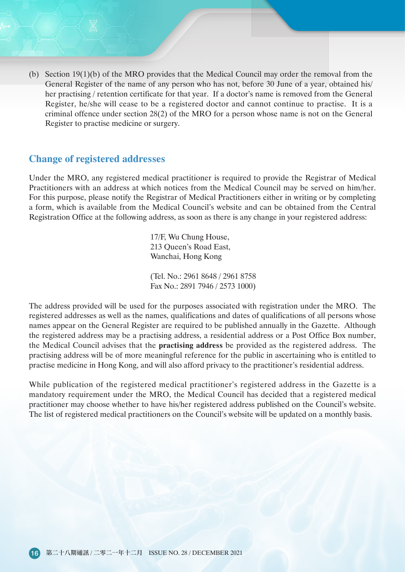(b) Section  $19(1)(b)$  of the MRO provides that the Medical Council may order the removal from the General Register of the name of any person who has not, before 30 June of a year, obtained his/ her practising / retention certificate for that year. If a doctor's name is removed from the General Register, he/she will cease to be a registered doctor and cannot continue to practise. It is a criminal offence under section 28(2) of the MRO for a person whose name is not on the General Register to practise medicine or surgery.

#### **Change of registered addresses**

Under the MRO, any registered medical practitioner is required to provide the Registrar of Medical Practitioners with an address at which notices from the Medical Council may be served on him/her. For this purpose, please notify the Registrar of Medical Practitioners either in writing or by completing a form, which is available from the Medical Council's website and can be obtained from the Central Registration Office at the following address, as soon as there is any change in your registered address:

> 17/F, Wu Chung House, 213 Queen's Road East, Wanchai, Hong Kong

(Tel. No.: 2961 8648 / 2961 8758 Fax No.: 2891 7946 / 2573 1000)

The address provided will be used for the purposes associated with registration under the MRO. The registered addresses as well as the names, qualifications and dates of qualifications of all persons whose names appear on the General Register are required to be published annually in the Gazette. Although the registered address may be a practising address, a residential address or a Post Office Box number, the Medical Council advises that the **practising address** be provided as the registered address. The practising address will be of more meaningful reference for the public in ascertaining who is entitled to practise medicine in Hong Kong, and will also afford privacy to the practitioner's residential address.

While publication of the registered medical practitioner's registered address in the Gazette is a mandatory requirement under the MRO, the Medical Council has decided that a registered medical practitioner may choose whether to have his/her registered address published on the Council's website. The list of registered medical practitioners on the Council's website will be updated on a monthly basis.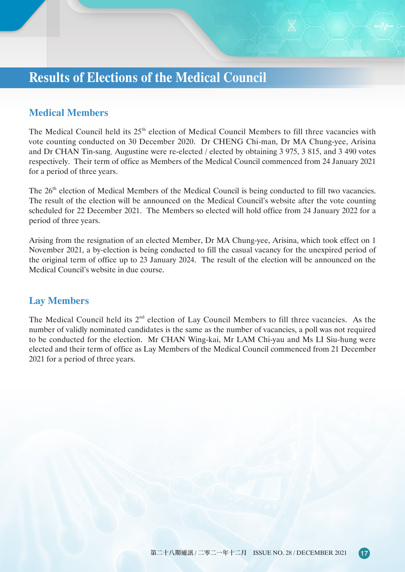# **Results of Elections of the Medical Council**

### **Medical Members**

The Medical Council held its 25<sup>th</sup> election of Medical Council Members to fill three vacancies with vote counting conducted on 30 December 2020. Dr CHENG Chi-man, Dr MA Chung-yee, Arisina and Dr CHAN Tin-sang, Augustine were re-elected / elected by obtaining 3 975, 3 815, and 3 490 votes respectively. Their term of office as Members of the Medical Council commenced from 24 January 2021 for a period of three years.

The 26<sup>th</sup> election of Medical Members of the Medical Council is being conducted to fill two vacancies. The result of the election will be announced on the Medical Council's website after the vote counting scheduled for 22 December 2021. The Members so elected will hold office from 24 January 2022 for a period of three years.

Arising from the resignation of an elected Member, Dr MA Chung-yee, Arisina, which took effect on 1 November 2021, a by-election is being conducted to fill the casual vacancy for the unexpired period of the original term of office up to 23 January 2024. The result of the election will be announced on the Medical Council's website in due course.

### **Lay Members**

The Medical Council held its  $2<sup>nd</sup>$  election of Lay Council Members to fill three vacancies. As the number of validly nominated candidates is the same as the number of vacancies, a poll was not required to be conducted for the election. Mr CHAN Wing-kai, Mr LAM Chi-yau and Ms LI Siu-hung were elected and their term of office as Lay Members of the Medical Council commenced from 21 December 2021 for a period of three years.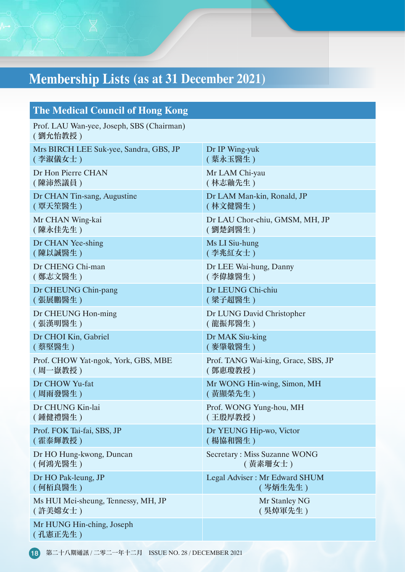# **Membership Lists (as at 31 December 2021)**

| <b>The Medical Council of Hong Kong</b>              |                                     |
|------------------------------------------------------|-------------------------------------|
| Prof. LAU Wan-yee, Joseph, SBS (Chairman)<br>(劉允怡教授) |                                     |
| Mrs BIRCH LEE Suk-yee, Sandra, GBS, JP               | Dr IP Wing-yuk                      |
| ( 李淑儀女士 )                                            | (葉永玉醫生)                             |
| Dr Hon Pierre CHAN                                   | Mr LAM Chi-yau                      |
| (陳沛然議員)                                              | (林志釉先生)                             |
| Dr CHAN Tin-sang, Augustine                          | Dr LAM Man-kin, Ronald, JP          |
| (覃天笙醫生)                                              | (林文健醫生)                             |
| Mr CHAN Wing-kai                                     | Dr LAU Chor-chiu, GMSM, MH, JP      |
| (陳永佳先生)                                              | (劉楚釗醫生)                             |
| Dr CHAN Yee-shing                                    | Ms LI Siu-hung                      |
| (陳以誠醫生)                                              | (李兆紅女士)                             |
| Dr CHENG Chi-man                                     | Dr LEE Wai-hung, Danny              |
| (鄭志文醫生)                                              | (李偉雄醫生)                             |
| Dr CHEUNG Chin-pang                                  | Dr LEUNG Chi-chiu                   |
| (張展鵬醫生)                                              | ( 梁子超醫生 )                           |
| Dr CHEUNG Hon-ming                                   | Dr LUNG David Christopher           |
| (張漢明醫生)                                              | (龍振邦醫生)                             |
| Dr CHOI Kin, Gabriel                                 | Dr MAK Siu-king                     |
| (蔡堅醫生)                                               | (麥肇敬醫生)                             |
| Prof. CHOW Yat-ngok, York, GBS, MBE                  | Prof. TANG Wai-king, Grace, SBS, JP |
| ( 周一嶽教授 )                                            | ( 鄧惠瓊教授 )                           |
| Dr CHOW Yu-fat                                       | Mr WONG Hin-wing, Simon, MH         |
| ( 周雨發醫生 )                                            | (黃顯榮先生)                             |
| Dr CHUNG Kin-lai                                     | Prof. WONG Yung-hou, MH             |
| (鍾健禮醫生)                                              | ( 王殷厚教授 )                           |
| Prof. FOK Tai-fai, SBS, JP                           | Dr YEUNG Hip-wo, Victor             |
| (霍泰輝教授)                                              | (楊協和醫生)                             |
| Dr HO Hung-kwong, Duncan                             | <b>Secretary: Miss Suzanne WONG</b> |
| (何鴻光醫生)                                              | ( 黃素珊女士 )                           |
| Dr HO Pak-leung, JP                                  | Legal Adviser: Mr Edward SHUM       |
| (何栢良醫生)                                              | (岑炳生先生)                             |
| Ms HUI Mei-sheung, Tennessy, MH, JP                  | <b>Mr Stanley NG</b>                |
| (許美嫦女士)                                              | (吳焯軍先生)                             |
| Mr HUNG Hin-ching, Joseph<br>孔憲正先生 )                 |                                     |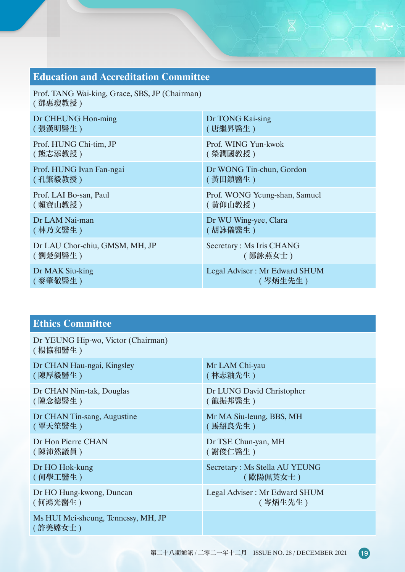# **Education and Accreditation Committee**

| Prof. TANG Wai-king, Grace, SBS, JP (Chairman)<br>(鄧惠瓊教授) |                               |
|-----------------------------------------------------------|-------------------------------|
| Dr CHEUNG Hon-ming                                        | Dr TONG Kai-sing              |
| (張漢明醫生)                                                   | (唐繼昇醫生)                       |
| Prof. HUNG Chi-tim, JP                                    | Prof. WING Yun-kwok           |
| (熊志添教授)                                                   | ( 榮潤國教授 )                     |
| Prof. HUNG Ivan Fan-ngai                                  | Dr WONG Tin-chun, Gordon      |
| (孔繁毅教授)                                                   | (黃田鎮醫生)                       |
| Prof. LAI Bo-san, Paul                                    | Prof. WONG Yeung-shan, Samuel |
| (賴寶山教授)                                                   | (黃仰山教授)                       |
| Dr LAM Nai-man                                            | Dr WU Wing-yee, Clara         |
| (林乃文醫生)                                                   | (胡詠儀醫生)                       |
| Dr LAU Chor-chiu, GMSM, MH, JP                            | Secretary : Ms Iris CHANG     |
| (劉楚釗醫生)                                                   | (鄭詠燕女士)                       |
| Dr MAK Siu-king                                           | Legal Adviser: Mr Edward SHUM |
| (麥肇敬醫生)                                                   | (岑炳生先生)                       |

# **Ethics Committee**

Dr YEUNG Hip-wo, Victor (Chairman) ( 楊協和醫生 )

| Dr CHAN Hau-ngai, Kingsley                     | Mr LAM Chi-yau                 |
|------------------------------------------------|--------------------------------|
| (陳厚毅醫生)                                        | (林志釉先生)                        |
| Dr CHAN Nim-tak, Douglas                       | Dr LUNG David Christopher      |
| (陳念德醫生)                                        | ( 龍振邦醫生 )                      |
| Dr CHAN Tin-sang, Augustine                    | Mr MA Siu-leung, BBS, MH       |
| (覃天笙醫生)                                        | (馬紹良先生)                        |
| Dr Hon Pierre CHAN                             | Dr TSE Chun-yan, MH            |
| (陳沛然議員)                                        | (謝俊仁醫生)                        |
| Dr HO Hok-kung                                 | Secretary : Ms Stella AU YEUNG |
| (何學工醫生)                                        | (歐陽佩英女士)                       |
| Dr HO Hung-kwong, Duncan                       | Legal Adviser: Mr Edward SHUM  |
| (何鴻光醫生)                                        | (岑炳生先生)                        |
| Ms HUI Mei-sheung, Tennessy, MH, JP<br>(許美嫦女士) |                                |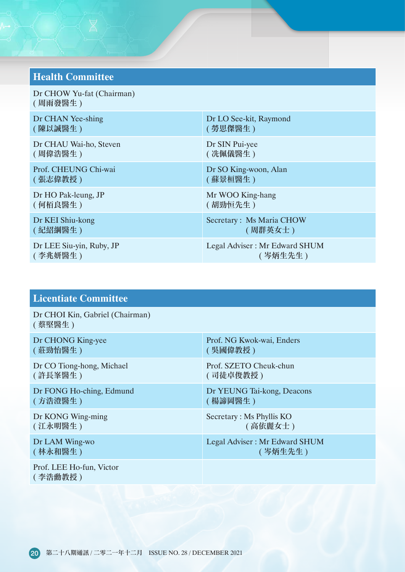#### **Health Committee**

Dr CHOW Yu-fat (Chairman) ( 周雨發醫生 )

Dr CHAN Yee-shing ( 陳以誠醫生 )

Dr CHAU Wai-ho, Steven ( 周偉浩醫生 )

Prof. CHEUNG Chi-wai ( 張志偉教授 )

Dr HO Pak-leung, JP ( 何栢良醫生 )

Dr KEI Shiu-kong ( 紀紹綱醫生 )

Dr LEE Siu-yin, Ruby, JP ( 李兆妍醫生 )

# ( 周群英女士 ) Legal Adviser : Mr Edward SHUM

Secretary : Ms Maria CHOW

Dr LO See-kit, Raymond

Dr SO King-woon, Alan

Mr WOO King-hang

( 勞思傑醫生 )

Dr SIN Pui-yee ( 冼佩儀醫生 )

( 蘇景桓醫生 )

(胡勁恒先生)

### ( 岑炳生先生 )

#### **Licentiate Committee**

Dr CHOI Kin, Gabriel (Chairman) ( 蔡堅醫生 )

Dr CHONG King-yee ( 莊勁怡醫生 )

Dr CO Tiong-hong, Michael ( 許長峯醫生 )

Dr FONG Ho-ching, Edmund ( 方浩澄醫生 )

Dr KONG Wing-ming ( 江永明醫生 )

Dr LAM Wing-wo ( 林永和醫生 )

Prof. LEE Ho-fun, Victor ( 李浩勳教授 )

Prof. NG Kwok-wai, Enders ( 吳國偉教授 )

Prof. SZETO Cheuk-chun ( 司徒卓俊教授 )

Dr YEUNG Tai-kong, Deacons ( 楊諦岡醫生 )

Secretary : Ms Phyllis KO ( 高依麗女士 )

Legal Adviser : Mr Edward SHUM ( 岑炳生先生 )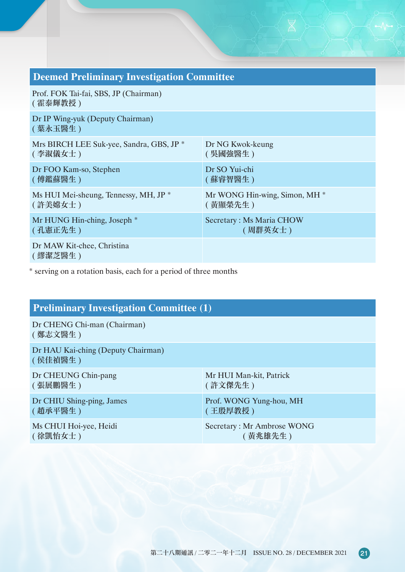| <b>Deemed Preliminary Investigation Committee</b> |                               |  |
|---------------------------------------------------|-------------------------------|--|
| Prof. FOK Tai-fai, SBS, JP (Chairman)<br>(霍泰輝教授)  |                               |  |
| Dr IP Wing-yuk (Deputy Chairman)<br>(葉永玉醫生)       |                               |  |
| Mrs BIRCH LEE Suk-yee, Sandra, GBS, JP *          | Dr NG Kwok-keung              |  |
| (李淑儀女士)                                           | (吳國強醫生)                       |  |
| Dr FOO Kam-so, Stephen                            | Dr SO Yui-chi                 |  |
| (傅鑑蘇醫生)                                           | (蘇睿智醫生)                       |  |
| Ms HUI Mei-sheung, Tennessy, MH, JP *             | Mr WONG Hin-wing, Simon, MH * |  |
| (許美嫦女士)                                           | (黃顯榮先生)                       |  |
| Mr HUNG Hin-ching, Joseph *                       | Secretary: Ms Maria CHOW      |  |
| (孔憲正先生)                                           | (周群英女士)                       |  |
| Dr MAW Kit-chee, Christina<br>(繆潔芝醫生)             |                               |  |

\* serving on a rotation basis, each for a period of three months

| <b>Preliminary Investigation Committee (1)</b> |  |
|------------------------------------------------|--|
|                                                |  |

Dr CHENG Chi-man (Chairman) ( 鄭志文醫生 )

Dr HAU Kai-ching (Deputy Chairman) ( 侯佳禎醫生 )

| Dr CHEUNG Chin-pang       | Mr HUI Man-kit, Patrick    |
|---------------------------|----------------------------|
| (張展鵬醫生)                   | (許文傑先生)                    |
| Dr CHIU Shing-ping, James | Prof. WONG Yung-hou, MH    |
| (趙承平醫生)                   | (王殷厚教授)                    |
| Ms CHUI Hoi-yee, Heidi    | Secretary: Mr Ambrose WONG |
| (徐凱怡女士)                   | (黃兆雄先生)                    |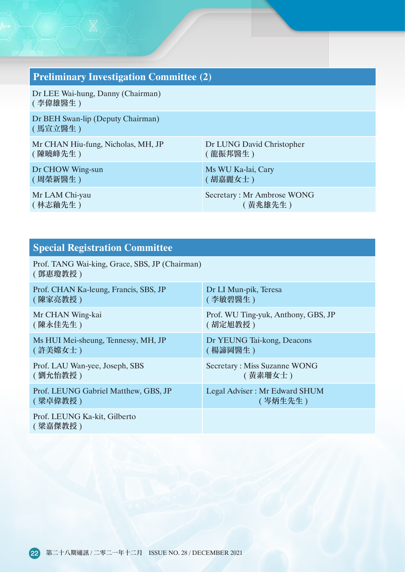| <b>Preliminary Investigation Committee (2)</b> |                            |  |  |
|------------------------------------------------|----------------------------|--|--|
| Dr LEE Wai-hung, Danny (Chairman)<br>(李偉雄醫生)   |                            |  |  |
| Dr BEH Swan-lip (Deputy Chairman)<br>(馬宣立醫生)   |                            |  |  |
| Mr CHAN Hiu-fung, Nicholas, MH, JP             | Dr LUNG David Christopher  |  |  |
| (陳曉峰先生)                                        | (龍振邦醫生)                    |  |  |
| Dr CHOW Wing-sun                               | Ms WU Ka-lai, Cary         |  |  |
| (周榮新醫生)                                        | (胡嘉麗女士)                    |  |  |
| Mr LAM Chi-yau                                 | Secretary: Mr Ambrose WONG |  |  |
| (林志釉先生)                                        | (黃兆雄先生)                    |  |  |

#### **Special Registration Committee**

Prof. TANG Wai-king, Grace, SBS, JP (Chairman) ( 鄧惠瓊教授 )

Prof. CHAN Ka-leung, Francis, SBS, JP ( 陳家亮教授 )

Mr CHAN Wing-kai ( 陳永佳先生 )

Ms HUI Mei-sheung, Tennessy, MH, JP ( 許美嫦女士 )

Prof. LAU Wan-yee, Joseph, SBS ( 劉允怡教授 )

Prof. LEUNG Gabriel Matthew, GBS, JP ( 梁卓偉教授 )

Prof. LEUNG Ka-kit, Gilberto ( 梁嘉傑教授 )

Prof. WU Ting-yuk, Anthony, GBS, JP ( 胡定旭教授 )

( 李敏碧醫生 )

Dr LI Mun-pik, Teresa

Dr YEUNG Tai-kong, Deacons ( 楊諦岡醫生 )

Secretary : Miss Suzanne WONG ( 黃素珊女士 )

Legal Adviser : Mr Edward SHUM ( 岑炳生先生 )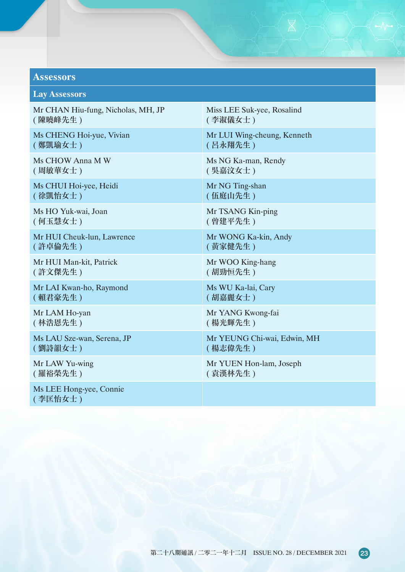#### **Assessors**

**Lay Assessors** Mr CHAN Hiu-fung, Nicholas, MH, JP ( 陳曉峰先生 ) Miss LEE Suk-yee, Rosalind ( 李淑儀女士 ) Ms CHENG Hoi-yue, Vivian ( 鄭凱瑜女士 ) Mr LUI Wing-cheung, Kenneth ( 呂永翔先生 ) Ms CHOW Anna M W ( 周敏華女士 ) Ms NG Ka-man, Rendy ( 吳嘉汶女士 ) Ms CHUI Hoi-yee, Heidi ( 徐凱怡女士 ) Mr NG Ting-shan ( 伍庭山先生 ) Ms HO Yuk-wai, Joan ( 何玉慧女士 ) Mr TSANG Kin-ping ( 曾建平先生 ) Mr HUI Cheuk-lun, Lawrence ( 許卓倫先生 ) Mr WONG Ka-kin, Andy ( 黃家健先生 ) Mr HUI Man-kit, Patrick ( 許文傑先生 ) Mr WOO King-hang ( 胡勁恒先生 ) Mr LAI Kwan-ho, Raymond ( 賴君豪先生 ) Ms WU Ka-lai, Cary ( 胡嘉麗女士 ) Mr LAM Ho-yan ( 林浩恩先生 ) Mr YANG Kwong-fai ( 楊光輝先生 ) Ms LAU Sze-wan, Serena, JP ( 劉詩韻女士 ) Mr YEUNG Chi-wai, Edwin, MH ( 楊志偉先生 ) Mr LAW Yu-wing ( 羅裕榮先生 ) Mr YUEN Hon-lam, Joseph ( 袁漢林先生 ) Ms LEE Hong-yee, Connie ( 李匡怡女士 )